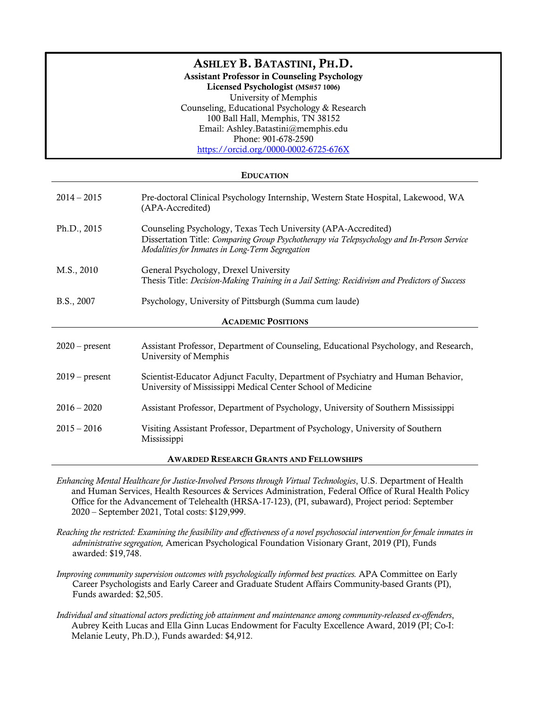# ASHLEY B. BATASTINI, PH.D.

Assistant Professor in Counseling Psychology

Licensed Psychologist (MS#57 1006) University of Memphis Counseling, Educational Psychology & Research 100 Ball Hall, Memphis, TN 38152 Email: Ashley.Batastini@memphis.edu Phone: 901-678-2590 https://orcid.org/0000-0002-6725-676X

# EDUCATION

| $2014 - 2015$                                  | Pre-doctoral Clinical Psychology Internship, Western State Hospital, Lakewood, WA<br>(APA-Accredited)                                                                                                          |  |
|------------------------------------------------|----------------------------------------------------------------------------------------------------------------------------------------------------------------------------------------------------------------|--|
| Ph.D., 2015                                    | Counseling Psychology, Texas Tech University (APA-Accredited)<br>Dissertation Title: Comparing Group Psychotherapy via Telepsychology and In-Person Service<br>Modalities for Inmates in Long-Term Segregation |  |
| M.S., 2010                                     | General Psychology, Drexel University<br>Thesis Title: Decision-Making Training in a Jail Setting: Recidivism and Predictors of Success                                                                        |  |
| B.S., 2007                                     | Psychology, University of Pittsburgh (Summa cum laude)                                                                                                                                                         |  |
| <b>ACADEMIC POSITIONS</b>                      |                                                                                                                                                                                                                |  |
| $2020$ – present                               | Assistant Professor, Department of Counseling, Educational Psychology, and Research,<br>University of Memphis                                                                                                  |  |
| $2019$ – present                               | Scientist-Educator Adjunct Faculty, Department of Psychiatry and Human Behavior,<br>University of Mississippi Medical Center School of Medicine                                                                |  |
| $2016 - 2020$                                  | Assistant Professor, Department of Psychology, University of Southern Mississippi                                                                                                                              |  |
| $2015 - 2016$                                  | Visiting Assistant Professor, Department of Psychology, University of Southern<br>Mississippi                                                                                                                  |  |
| <b>AWARDED RESEARCH GRANTS AND FELLOWSHIPS</b> |                                                                                                                                                                                                                |  |

- *Enhancing Mental Healthcare for Justice-Involved Persons through Virtual Technologies*, U.S. Department of Health and Human Services, Health Resources & Services Administration, Federal Office of Rural Health Policy Office for the Advancement of Telehealth (HRSA-17-123), (PI, subaward), Project period: September 2020 – September 2021, Total costs: \$129,999.
- *Reaching the restricted: Examining the feasibility and effectiveness of a novel psychosocial intervention for female inmates in administrative segregation,* American Psychological Foundation Visionary Grant, 2019 (PI), Funds awarded: \$19,748.
- *Improving community supervision outcomes with psychologically informed best practices.* APA Committee on Early Career Psychologists and Early Career and Graduate Student Affairs Community-based Grants (PI), Funds awarded: \$2,505.
- *Individual and situational actors predicting job attainment and maintenance among community-released ex-offenders*, Aubrey Keith Lucas and Ella Ginn Lucas Endowment for Faculty Excellence Award, 2019 (PI; Co-I: Melanie Leuty, Ph.D.), Funds awarded: \$4,912.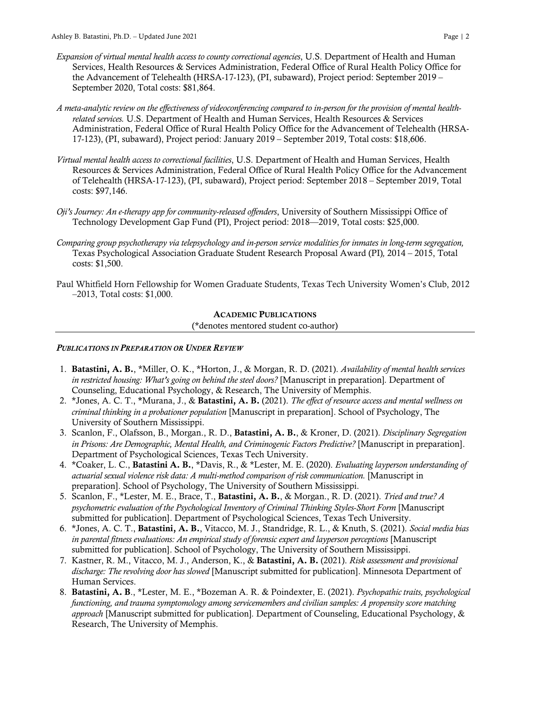- *Expansion of virtual mental health access to county correctional agencies*, U.S. Department of Health and Human Services, Health Resources & Services Administration, Federal Office of Rural Health Policy Office for the Advancement of Telehealth (HRSA-17-123), (PI, subaward), Project period: September 2019 – September 2020, Total costs: \$81,864.
- *A meta-analytic review on the effectiveness of videoconferencing compared to in-person for the provision of mental healthrelated services.* U.S. Department of Health and Human Services, Health Resources & Services Administration, Federal Office of Rural Health Policy Office for the Advancement of Telehealth (HRSA-17-123), (PI, subaward), Project period: January 2019 – September 2019, Total costs: \$18,606.
- *Virtual mental health access to correctional facilities*, U.S. Department of Health and Human Services, Health Resources & Services Administration, Federal Office of Rural Health Policy Office for the Advancement of Telehealth (HRSA-17-123), (PI, subaward), Project period: September 2018 – September 2019, Total costs: \$97,146.
- *Oji's Journey: An e-therapy app for community-released offenders*, University of Southern Mississippi Office of Technology Development Gap Fund (PI), Project period: 2018—2019, Total costs: \$25,000.
- *Comparing group psychotherapy via telepsychology and in-person service modalities for inmates in long-term segregation,*  Texas Psychological Association Graduate Student Research Proposal Award (PI)*,* 2014 – 2015, Total costs: \$1,500.
- Paul Whitfield Horn Fellowship for Women Graduate Students, Texas Tech University Women's Club, 2012 –2013, Total costs: \$1,000.

# ACADEMIC PUBLICATIONS

(\*denotes mentored student co-author)

#### *PUBLICATIONS IN PREPARATION OR UNDER REVIEW*

- 1. Batastini, A. B., \*Miller, O. K., \*Horton, J., & Morgan, R. D. (2021). *Availability of mental health services in restricted housing: What's going on behind the steel doors?* [Manuscript in preparation]*.* Department of Counseling, Educational Psychology, & Research, The University of Memphis.
- 2. \*Jones, A. C. T., \*Murana, J., & Batastini, A. B. (2021). *The effect of resource access and mental wellness on criminal thinking in a probationer population* [Manuscript in preparation]. School of Psychology, The University of Southern Mississippi.
- 3. Scanlon, F., Olafsson, B., Morgan., R. D., Batastini, A. B., & Kroner, D. (2021). *Disciplinary Segregation in Prisons: Are Demographic, Mental Health, and Criminogenic Factors Predictive?* [Manuscript in preparation]. Department of Psychological Sciences, Texas Tech University.
- 4. \*Coaker, L. C., Batastini A. B., \*Davis, R., & \*Lester, M. E. (2020). *Evaluating layperson understanding of actuarial sexual violence risk data: A multi-method comparison of risk communication.* [Manuscript in preparation]. School of Psychology, The University of Southern Mississippi.
- 5. Scanlon, F., \*Lester, M. E., Brace, T., Batastini, A. B., & Morgan., R. D. (2021). *Tried and true? A psychometric evaluation of the Psychological Inventory of Criminal Thinking Styles-Short Form* [Manuscript submitted for publication]. Department of Psychological Sciences, Texas Tech University.
- 6. \*Jones, A. C. T., Batastini, A. B., Vitacco, M. J., Standridge, R. L., & Knuth, S. (2021). *Social media bias in parental fitness evaluations: An empirical study of forensic expert and layperson perceptions* [Manuscript submitted for publication]. School of Psychology, The University of Southern Mississippi.
- 7. Kastner, R. M., Vitacco, M. J., Anderson, K., & Batastini, A. B. (2021). *Risk assessment and provisional discharge: The revolving door has slowed* [Manuscript submitted for publication]. Minnesota Department of Human Services.
- 8. Batastini, A. B., \*Lester, M. E., \*Bozeman A. R. & Poindexter, E. (2021). *Psychopathic traits, psychological functioning, and trauma symptomology among servicemembers and civilian samples: A propensity score matching approach* [Manuscript submitted for publication]*.* Department of Counseling, Educational Psychology, & Research, The University of Memphis.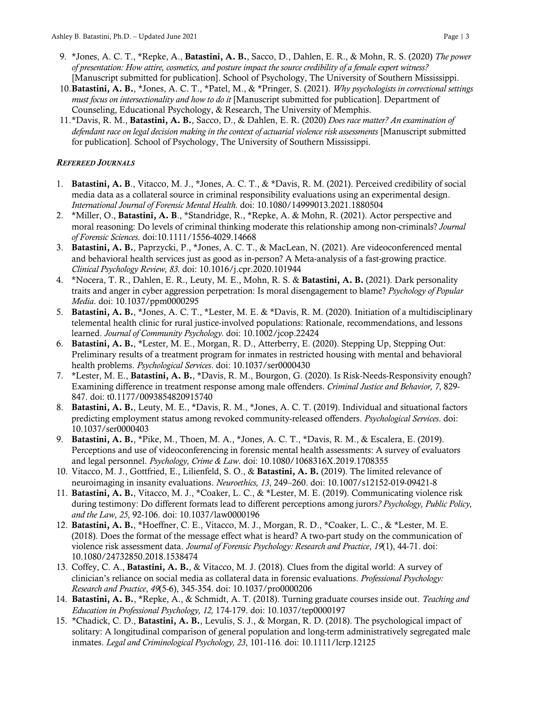- 9. \*Jones, A. C. T., \*Repke, A., Batastini, A. B., Sacco, D., Dahlen, E. R., & Mohn, R. S. (2020) *The power of presentation: How attire, cosmetics, and posture impact the source credibility of a female expert witness?* [Manuscript submitted for publication]. School of Psychology, The University of Southern Mississippi.
- 10.Batastini, A. B., \*Jones, A. C. T., \*Patel, M., & \*Pringer, S. (2021). *Why psychologists in correctional settings must focus on intersectionality and how to do it* [Manuscript submitted for publication]*.* Department of Counseling, Educational Psychology, & Research, The University of Memphis.
- 11.\*Davis, R. M., Batastini, A. B., Sacco, D., & Dahlen, E. R. (2020) *Does race matter? An examination of defendant race on legal decision making in the context of actuarial violence risk assessments* [Manuscript submitted for publication]*.* School of Psychology, The University of Southern Mississippi.

### *REFEREED JOURNALS*

- 1. Batastini, A. B., Vitacco, M. J., \*Jones, A. C. T., & \*Davis, R. M. (2021). Perceived credibility of social media data as a collateral source in criminal responsibility evaluations using an experimental design. *International Journal of Forensic Mental Health.* doi: 10.1080/14999013.2021.1880504
- 2. \*Miller, O., Batastini, A. B., \*Standridge, R., \*Repke, A. & Mohn, R. (2021). Actor perspective and moral reasoning: Do levels of criminal thinking moderate this relationship among non-criminals? *Journal of Forensic Sciences*. doi:10.1111/1556-4029.14668
- 3. Batastini, A. B., Paprzycki, P., \*Jones, A. C. T., & MacLean, N. (2021). Are videoconferenced mental and behavioral health services just as good as in-person? A Meta-analysis of a fast-growing practice*. Clinical Psychology Review, 83.* doi: 10.1016/j.cpr.2020.101944
- 4. \*Nocera, T. R., Dahlen, E. R., Leuty, M. E., Mohn, R. S. & Batastini, A. B. (2021). Dark personality traits and anger in cyber aggression perpetration: Is moral disengagement to blame? *Psychology of Popular Media*. doi: 10.1037/ppm0000295
- 5. Batastini, A. B., \*Jones, A. C. T., \*Lester, M. E. & \*Davis, R. M. (2020). Initiation of a multidisciplinary telemental health clinic for rural justice-involved populations: Rationale, recommendations, and lessons learned. *Journal of Community Psychology.* doi: 10.1002/jcop.22424
- 6. Batastini, A. B., \*Lester, M. E., Morgan, R. D., Atterberry, E. (2020). Stepping Up, Stepping Out: Preliminary results of a treatment program for inmates in restricted housing with mental and behavioral health problems. *Psychological Services*. doi: 10.1037/ser0000430
- 7. \*Lester, M. E., Batastini, A. B., \*Davis, R. M., Bourgon, G. (2020). Is Risk-Needs-Responsivity enough? Examining difference in treatment response among male offenders. *Criminal Justice and Behavior, 7*, 829- 847. doi: t0.1177/0093854820915740
- 8. Batastini, A. B., Leuty, M. E., \*Davis, R. M., \*Jones, A. C. T. (2019). Individual and situational factors predicting employment status among revoked community-released offenders. *Psychological Services*. doi: 10.1037/ser0000403
- 9. Batastini, A. B., \*Pike, M., Thoen, M. A., \*Jones, A. C. T., \*Davis, R. M., & Escalera, E. (2019). Perceptions and use of videoconferencing in forensic mental health assessments: A survey of evaluators and legal personnel. *Psychology, Crime & Law*. doi: 10.1080/1068316X.2019.1708355
- 10. Vitacco, M. J., Gottfried, E., Lilienfeld, S. O., & Batastini, A. B. (2019). The limited relevance of neuroimaging in insanity evaluations. *Neuroethics, 13*, 249–260. doi: 10.1007/s12152-019-09421-8
- 11. Batastini, A. B., Vitacco, M. J., \*Coaker, L. C., & \*Lester, M. E. (2019). Communicating violence risk during testimony: Do different formats lead to different perceptions among jurors*? Psychology, Public Policy, and the Law*, *25*, 92-106. doi: 10.1037/law0000196
- 12. Batastini, A. B., \*Hoeffner, C. E., Vitacco, M. J., Morgan, R. D., \*Coaker, L. C., & \*Lester, M. E. (2018). Does the format of the message effect what is heard? A two-part study on the communication of violence risk assessment data. *Journal of Forensic Psychology: Research and Practice*, *19*(1), 44-71. doi: 10.1080/24732850.2018.1538474
- 13. Coffey, C. A., Batastini, A. B., & Vitacco, M. J. (2018). Clues from the digital world: A survey of clinician's reliance on social media as collateral data in forensic evaluations. *Professional Psychology: Research and Practice*, *49*(5-6), 345-354. doi: 10.1037/pro0000206
- 14. Batastini, A. B., \*Repke, A., & Schmidt, A. T. (2018). Turning graduate courses inside out. *Teaching and Education in Professional Psychology, 12,* 174-179. doi: 10.1037/tep0000197
- 15. \*Chadick, C. D., Batastini, A. B., Levulis, S. J., & Morgan, R. D. (2018). The psychological impact of solitary: A longitudinal comparison of general population and long-term administratively segregated male inmates. *Legal and Criminological Psychology, 23*, 101-116*.* doi: 10.1111/lcrp.12125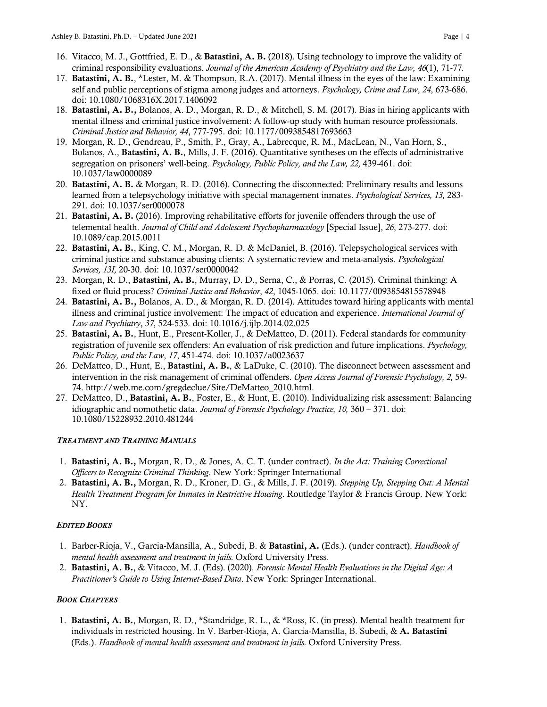- 16. Vitacco, M. J., Gottfried, E. D., & Batastini, A. B. (2018). Using technology to improve the validity of criminal responsibility evaluations. *Journal of the American Academy of Psychiatry and the Law, 46*(1), 71-77*.*
- 17. Batastini, A. B., \*Lester, M. & Thompson, R.A. (2017). Mental illness in the eyes of the law: Examining self and public perceptions of stigma among judges and attorneys. *Psychology, Crime and Law*, *24*, 673-686. doi: 10.1080/1068316X.2017.1406092
- 18. Batastini, A. B., Bolanos, A. D., Morgan, R. D., & Mitchell, S. M. (2017). Bias in hiring applicants with mental illness and criminal justice involvement: A follow-up study with human resource professionals. *Criminal Justice and Behavior, 44*, 777-795. doi: 10.1177/0093854817693663
- 19. Morgan, R. D., Gendreau, P., Smith, P., Gray, A., Labrecque, R. M., MacLean, N., Van Horn, S., Bolanos, A., Batastini, A. B., Mills, J. F. (2016). Quantitative syntheses on the effects of administrative segregation on prisoners' well-being. *Psychology, Public Policy, and the Law, 22,* 439-461. doi: 10.1037/law0000089
- 20. Batastini, A. B. & Morgan, R. D. (2016). Connecting the disconnected: Preliminary results and lessons learned from a telepsychology initiative with special management inmates. *Psychological Services, 13,* 283- 291. doi: 10.1037/ser0000078
- 21. Batastini, A. B. (2016). Improving rehabilitative efforts for juvenile offenders through the use of telemental health. *Journal of Child and Adolescent Psychopharmacology* [Special Issue], *26*, 273-277. doi: 10.1089/cap.2015.0011
- 22. Batastini, A. B., King, C. M., Morgan, R. D. & McDaniel, B. (2016). Telepsychological services with criminal justice and substance abusing clients: A systematic review and meta-analysis. *Psychological Services, 13I,* 20-30. doi: 10.1037/ser0000042
- 23. Morgan, R. D., Batastini, A. B., Murray, D. D., Serna, C., & Porras, C. (2015). Criminal thinking: A fixed or fluid process? *Criminal Justice and Behavior*, *42*, 1045-1065. doi: 10.1177/0093854815578948
- 24. Batastini, A. B., Bolanos, A. D., & Morgan, R. D. (2014). Attitudes toward hiring applicants with mental illness and criminal justice involvement: The impact of education and experience. *International Journal of Law and Psychiatry*, *37*, 524-533*.* doi: 10.1016/j.ijlp.2014.02.025
- 25. Batastini, A. B., Hunt, E., Present-Koller, J., & DeMatteo, D. (2011). Federal standards for community registration of juvenile sex offenders: An evaluation of risk prediction and future implications. *Psychology, Public Policy, and the Law*, *17*, 451-474. doi: 10.1037/a0023637
- 26. DeMatteo, D., Hunt, E., Batastini, A. B., & LaDuke, C. (2010). The disconnect between assessment and intervention in the risk management of criminal offenders. *Open Access Journal of Forensic Psychology, 2,* 59- 74. http://web.me.com/gregdeclue/Site/DeMatteo\_2010.html.
- 27. DeMatteo, D., Batastini, A. B., Foster, E., & Hunt, E. (2010). Individualizing risk assessment: Balancing idiographic and nomothetic data. *Journal of Forensic Psychology Practice, 10,* 360 – 371. doi: 10.1080/15228932.2010.481244

# *TREATMENT AND TRAINING MANUALS*

- 1. Batastini, A. B., Morgan, R. D., & Jones, A. C. T. (under contract). *In the Act: Training Correctional Officers to Recognize Criminal Thinking*. New York: Springer International
- 2. Batastini, A. B., Morgan, R. D., Kroner, D. G., & Mills, J. F. (2019). *Stepping Up, Stepping Out: A Mental Health Treatment Program for Inmates in Restrictive Housing*. Routledge Taylor & Francis Group. New York: NY.

# *EDITED BOOKS*

- 1. Barber-Rioja, V., Garcia-Mansilla, A., Subedi, B. & Batastini, A. (Eds.). (under contract). *Handbook of mental health assessment and treatment in jails.* Oxford University Press.
- 2. Batastini, A. B., & Vitacco, M. J. (Eds). (2020). *Forensic Mental Health Evaluations in the Digital Age: A Practitioner's Guide to Using Internet-Based Data*. New York: Springer International.

# *BOOK CHAPTERS*

1. Batastini, A. B., Morgan, R. D., \*Standridge, R. L., & \*Ross, K. (in press). Mental health treatment for individuals in restricted housing. In V. Barber-Rioja, A. Garcia-Mansilla, B. Subedi, & A. Batastini (Eds.). *Handbook of mental health assessment and treatment in jails.* Oxford University Press.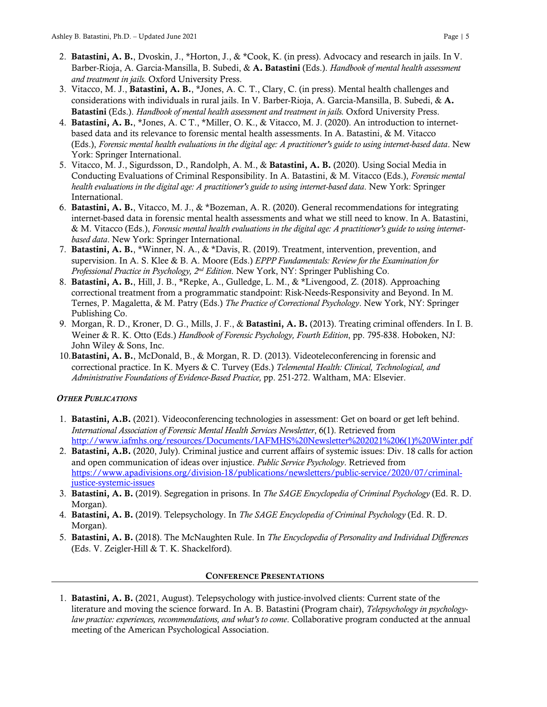- 2. Batastini, A. B., Dvoskin, J., \*Horton, J., & \*Cook, K. (in press). Advocacy and research in jails. In V. Barber-Rioja, A. Garcia-Mansilla, B. Subedi, & A. Batastini (Eds.). *Handbook of mental health assessment and treatment in jails.* Oxford University Press.
- 3. Vitacco, M. J., Batastini, A. B., \*Jones, A. C. T., Clary, C. (in press). Mental health challenges and considerations with individuals in rural jails. In V. Barber-Rioja, A. Garcia-Mansilla, B. Subedi, & A. Batastini (Eds.). *Handbook of mental health assessment and treatment in jails.* Oxford University Press.
- 4. Batastini, A. B., \*Jones, A. C T., \*Miller, O. K., & Vitacco, M. J. (2020). An introduction to internetbased data and its relevance to forensic mental health assessments. In A. Batastini, & M. Vitacco (Eds.), *Forensic mental health evaluations in the digital age: A practitioner's guide to using internet-based data*. New York: Springer International.
- 5. Vitacco, M. J., Sigurdsson, D., Randolph, A. M., & Batastini, A. B. (2020). Using Social Media in Conducting Evaluations of Criminal Responsibility. In A. Batastini, & M. Vitacco (Eds.), *Forensic mental health evaluations in the digital age: A practitioner's guide to using internet-based data*. New York: Springer International.
- 6. Batastini, A. B., Vitacco, M. J., & \*Bozeman, A. R. (2020). General recommendations for integrating internet-based data in forensic mental health assessments and what we still need to know. In A. Batastini, & M. Vitacco (Eds.), *Forensic mental health evaluations in the digital age: A practitioner's guide to using internetbased data*. New York: Springer International.
- 7. Batastini, A. B., \*Winner, N. A., & \*Davis, R. (2019). Treatment, intervention, prevention, and supervision. In A. S. Klee & B. A. Moore (Eds.) *EPPP Fundamentals: Review for the Examination for Professional Practice in Psychology, 2nd Edition*. New York, NY: Springer Publishing Co.
- 8. Batastini, A. B., Hill, J. B., \*Repke, A., Gulledge, L. M., & \*Livengood, Z. (2018). Approaching correctional treatment from a programmatic standpoint: Risk-Needs-Responsivity and Beyond. In M. Ternes, P. Magaletta, & M. Patry (Eds.) *The Practice of Correctional Psychology*. New York, NY: Springer Publishing Co.
- 9. Morgan, R. D., Kroner, D. G., Mills, J. F., & Batastini, A. B. (2013). Treating criminal offenders. In I. B. Weiner & R. K. Otto (Eds.) *Handbook of Forensic Psychology, Fourth Edition*, pp. 795-838. Hoboken, NJ: John Wiley & Sons, Inc.
- 10.Batastini, A. B., McDonald, B., & Morgan, R. D. (2013). Videoteleconferencing in forensic and correctional practice. In K. Myers & C. Turvey (Eds.) *Telemental Health: Clinical, Technological, and Administrative Foundations of Evidence-Based Practice,* pp. 251-272. Waltham, MA: Elsevier.

# *OTHER PUBLICATIONS*

- 1. Batastini, A.B. (2021). Videoconferencing technologies in assessment: Get on board or get left behind. *International Association of Forensic Mental Health Services Newsletter*, 6(1). Retrieved from http://www.iafmhs.org/resources/Documents/IAFMHS%20Newsletter%202021%206(1)%20Winter.pdf
- 2. Batastini, A.B. (2020, July). Criminal justice and current affairs of systemic issues: Div. 18 calls for action and open communication of ideas over injustice. *Public Service Psychology*. Retrieved from https://www.apadivisions.org/division-18/publications/newsletters/public-service/2020/07/criminaljustice-systemic-issues
- 3. Batastini, A. B. (2019). Segregation in prisons. In *The SAGE Encyclopedia of Criminal Psychology* (Ed. R. D. Morgan).
- 4. Batastini, A. B. (2019). Telepsychology. In *The SAGE Encyclopedia of Criminal Psychology* (Ed. R. D. Morgan).
- 5. Batastini, A. B. (2018). The McNaughten Rule. In *The Encyclopedia of Personality and Individual Differences* (Eds. V. Zeigler-Hill & T. K. Shackelford).

# CONFERENCE PRESENTATIONS

1. Batastini, A. B. (2021, August). Telepsychology with justice-involved clients: Current state of the literature and moving the science forward. In A. B. Batastini (Program chair), *Telepsychology in psychologylaw practice: experiences, recommendations, and what's to come*. Collaborative program conducted at the annual meeting of the American Psychological Association.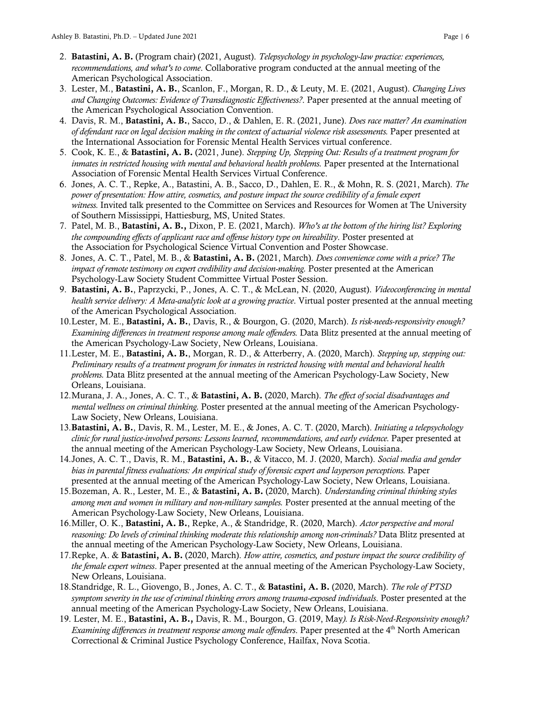- 2. Batastini, A. B. (Program chair) (2021, August). *Telepsychology in psychology-law practice: experiences, recommendations, and what's to come*. Collaborative program conducted at the annual meeting of the American Psychological Association.
- 3. Lester, M., Batastini, A. B., Scanlon, F., Morgan, R. D., & Leuty, M. E. (2021, August). *Changing Lives and Changing Outcomes: Evidence of Transdiagnostic Effectiveness?*. Paper presented at the annual meeting of the American Psychological Association Convention.
- 4. Davis, R. M., Batastini, A. B., Sacco, D., & Dahlen, E. R. (2021, June). *Does race matter? An examination of defendant race on legal decision making in the context of actuarial violence risk assessments.* Paper presented at the International Association for Forensic Mental Health Services virtual conference.
- 5. Cook, K. E., & Batastini, A. B. (2021, June). *Stepping Up, Stepping Out: Results of a treatment program for inmates in restricted housing with mental and behavioral health problems.* Paper presented at the International Association of Forensic Mental Health Services Virtual Conference.
- 6. Jones, A. C. T., Repke, A., Batastini, A. B., Sacco, D., Dahlen, E. R., & Mohn, R. S. (2021, March). *The power of presentation: How attire, cosmetics, and posture impact the source credibility of a female expert witness.* Invited talk presented to the Committee on Services and Resources for Women at The University of Southern Mississippi, Hattiesburg, MS, United States.
- 7. Patel, M. B., Batastini, A. B., Dixon, P. E. (2021, March). *Who's at the bottom of the hiring list? Exploring the compounding effects of applicant race and offense history type on hireability*. Poster presented at the Association for Psychological Science Virtual Convention and Poster Showcase.
- 8. Jones, A. C. T., Patel, M. B., & Batastini, A. B. (2021, March). *Does convenience come with a price? The impact of remote testimony on expert credibility and decision-making.* Poster presented at the American Psychology-Law Society Student Committee Virtual Poster Session.
- 9. Batastini, A. B., Paprzycki, P., Jones, A. C. T., & McLean, N. (2020, August). *Videoconferencing in mental health service delivery: A Meta-analytic look at a growing practice*. Virtual poster presented at the annual meeting of the American Psychological Association.
- 10.Lester, M. E., Batastini, A. B., Davis, R., & Bourgon, G. (2020, March). *Is risk-needs-responsivity enough? Examining differences in treatment response among male offenders.* Data Blitz presented at the annual meeting of the American Psychology-Law Society, New Orleans, Louisiana.
- 11.Lester, M. E., Batastini, A. B., Morgan, R. D., & Atterberry, A. (2020, March). *Stepping up, stepping out: Preliminary results of a treatment program for inmates in restricted housing with mental and behavioral health problems.* Data Blitz presented at the annual meeting of the American Psychology-Law Society, New Orleans, Louisiana.
- 12.Murana, J. A., Jones, A. C. T., & Batastini, A. B. (2020, March). *The effect of social disadvantages and mental wellness on criminal thinking.* Poster presented at the annual meeting of the American Psychology-Law Society, New Orleans, Louisiana.
- 13.Batastini, A. B., Davis, R. M., Lester, M. E., & Jones, A. C. T. (2020, March). *Initiating a telepsychology clinic for rural justice-involved persons: Lessons learned, recommendations, and early evidence.* Paper presented at the annual meeting of the American Psychology-Law Society, New Orleans, Louisiana.
- 14.Jones, A. C. T., Davis, R. M., Batastini, A. B., & Vitacco, M. J. (2020, March). *Social media and gender bias in parental fitness evaluations: An empirical study of forensic expert and layperson perceptions.* Paper presented at the annual meeting of the American Psychology-Law Society, New Orleans, Louisiana.
- 15.Bozeman, A. R., Lester, M. E., & Batastini, A. B. (2020, March). *Understanding criminal thinking styles among men and women in military and non-military samples.* Poster presented at the annual meeting of the American Psychology-Law Society, New Orleans, Louisiana.
- 16.Miller, O. K., Batastini, A. B., Repke, A., & Standridge, R. (2020, March). *Actor perspective and moral reasoning: Do levels of criminal thinking moderate this relationship among non-criminals?* Data Blitz presented at the annual meeting of the American Psychology-Law Society, New Orleans, Louisiana.
- 17.Repke, A. & Batastini, A. B. (2020, March). *How attire, cosmetics, and posture impact the source credibility of the female expert witness*. Paper presented at the annual meeting of the American Psychology-Law Society, New Orleans, Louisiana.
- 18.Standridge, R. L., Giovengo, B., Jones, A. C. T., & Batastini, A. B. (2020, March). *The role of PTSD symptom severity in the use of criminal thinking errors among trauma-exposed individuals*. Poster presented at the annual meeting of the American Psychology-Law Society, New Orleans, Louisiana.
- 19. Lester, M. E., Batastini, A. B., Davis, R. M., Bourgon, G. (2019, May*). Is Risk-Need-Responsivity enough? Examining differences in treatment response among male offenders*. Paper presented at the 4<sup>th</sup> North American Correctional & Criminal Justice Psychology Conference, Hailfax, Nova Scotia.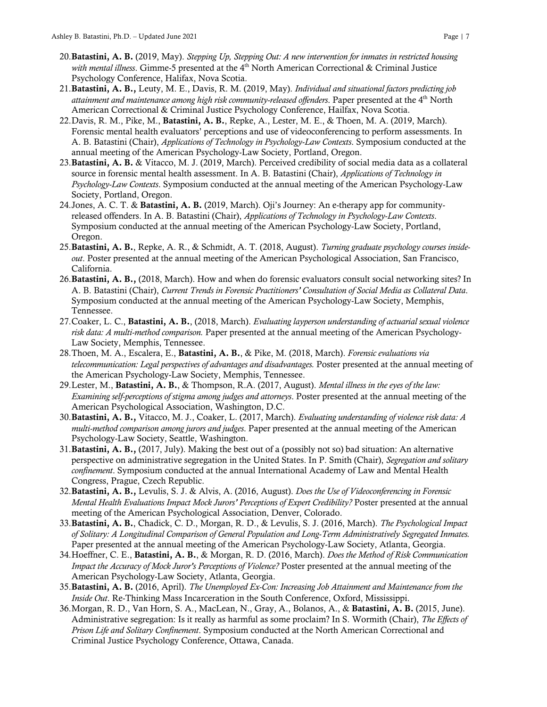- 20.Batastini, A. B. (2019, May). *Stepping Up, Stepping Out: A new intervention for inmates in restricted housing*  with mental illness. Gimme-5 presented at the 4<sup>th</sup> North American Correctional & Criminal Justice Psychology Conference, Halifax, Nova Scotia.
- 21.Batastini, A. B., Leuty, M. E., Davis, R. M. (2019, May). *Individual and situational factors predicting job attainment and maintenance among high risk community-released offenders*. Paper presented at the 4th North American Correctional & Criminal Justice Psychology Conference, Hailfax, Nova Scotia.
- 22.Davis, R. M., Pike, M., Batastini, A. B., Repke, A., Lester, M. E., & Thoen, M. A. (2019, March). Forensic mental health evaluators' perceptions and use of videoconferencing to perform assessments. In A. B. Batastini (Chair), *Applications of Technology in Psychology-Law Contexts*. Symposium conducted at the annual meeting of the American Psychology-Law Society, Portland, Oregon.
- 23.Batastini, A. B. & Vitacco, M. J. (2019, March). Perceived credibility of social media data as a collateral source in forensic mental health assessment. In A. B. Batastini (Chair), *Applications of Technology in Psychology-Law Contexts*. Symposium conducted at the annual meeting of the American Psychology-Law Society, Portland, Oregon.
- 24.Jones, A. C. T. & Batastini, A. B. (2019, March). Oji's Journey: An e-therapy app for communityreleased offenders. In A. B. Batastini (Chair), *Applications of Technology in Psychology-Law Contexts*. Symposium conducted at the annual meeting of the American Psychology-Law Society, Portland, Oregon.
- 25.Batastini, A. B., Repke, A. R., & Schmidt, A. T. (2018, August). *Turning graduate psychology courses insideout*. Poster presented at the annual meeting of the American Psychological Association, San Francisco, California.
- 26.Batastini, A. B., (2018, March). How and when do forensic evaluators consult social networking sites? In A. B. Batastini (Chair), *Current Trends in Forensic Practitioners' Consultation of Social Media as Collateral Data*. Symposium conducted at the annual meeting of the American Psychology-Law Society, Memphis, Tennessee.
- 27.Coaker, L. C., Batastini, A. B., (2018, March). *Evaluating layperson understanding of actuarial sexual violence risk data: A multi-method comparison.* Paper presented at the annual meeting of the American Psychology-Law Society, Memphis, Tennessee.
- 28.Thoen, M. A., Escalera, E., Batastini, A. B., & Pike, M. (2018, March). *Forensic evaluations via telecommunication: Legal perspectives of advantages and disadvantages.* Poster presented at the annual meeting of the American Psychology-Law Society, Memphis, Tennessee.
- 29.Lester, M., Batastini, A. B., & Thompson, R.A. (2017, August). *Mental illness in the eyes of the law: Examining self-perceptions of stigma among judges and attorneys*. Poster presented at the annual meeting of the American Psychological Association, Washington, D.C.
- 30.Batastini, A. B., Vitacco, M. J., Coaker, L. (2017, March). *Evaluating understanding of violence risk data: A multi-method comparison among jurors and judges*. Paper presented at the annual meeting of the American Psychology-Law Society, Seattle, Washington.
- 31.Batastini, A. B., (2017, July). Making the best out of a (possibly not so) bad situation: An alternative perspective on administrative segregation in the United States. In P. Smith (Chair), *Segregation and solitary confinement*. Symposium conducted at the annual International Academy of Law and Mental Health Congress, Prague, Czech Republic.
- 32.Batastini, A. B., Levulis, S. J. & Alvis, A. (2016, August). *Does the Use of Videoconferencing in Forensic Mental Health Evaluations Impact Mock Jurors' Perceptions of Expert Credibility?* Poster presented at the annual meeting of the American Psychological Association, Denver, Colorado.
- 33.Batastini, A. B., Chadick, C. D., Morgan, R. D., & Levulis, S. J. (2016, March). *The Psychological Impact of Solitary: A Longitudinal Comparison of General Population and Long-Term Administratively Segregated Inmates.* Paper presented at the annual meeting of the American Psychology-Law Society, Atlanta, Georgia.
- 34.Hoeffner, C. E., Batastini, A. B., & Morgan, R. D. (2016, March). *Does the Method of Risk Communication Impact the Accuracy of Mock Juror's Perceptions of Violence?* Poster presented at the annual meeting of the American Psychology-Law Society, Atlanta, Georgia.
- 35.Batastini, A. B. (2016, April). *The Unemployed Ex-Con: Increasing Job Attainment and Maintenance from the Inside Out*. Re-Thinking Mass Incarceration in the South Conference, Oxford, Mississippi.
- 36.Morgan, R. D., Van Horn, S. A., MacLean, N., Gray, A., Bolanos, A., & Batastini, A. B. (2015, June). Administrative segregation: Is it really as harmful as some proclaim? In S. Wormith (Chair), *The Effects of Prison Life and Solitary Confinement*. Symposium conducted at the North American Correctional and Criminal Justice Psychology Conference, Ottawa, Canada.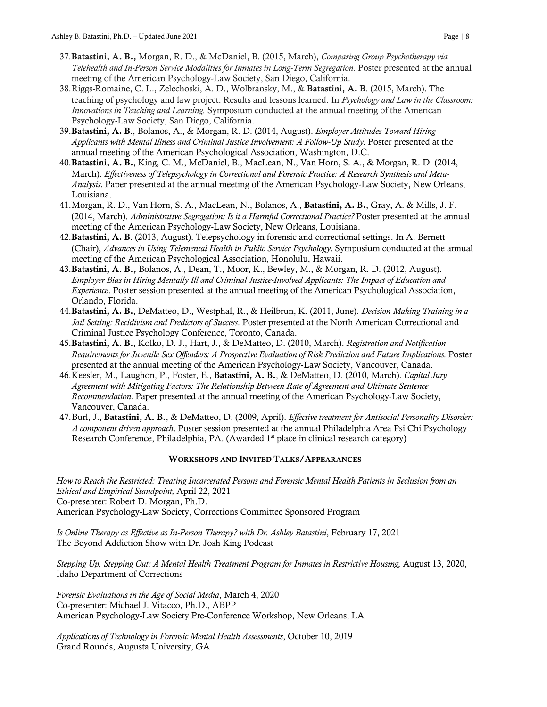- 37.Batastini, A. B., Morgan, R. D., & McDaniel, B. (2015, March), *Comparing Group Psychotherapy via Telehealth and In-Person Service Modalities for Inmates in Long-Term Segregation.* Poster presented at the annual meeting of the American Psychology-Law Society, San Diego, California.
- 38.Riggs-Romaine, C. L., Zelechoski, A. D., Wolbransky, M., & Batastini, A. B. (2015, March). The teaching of psychology and law project: Results and lessons learned. In *Psychology and Law in the Classroom: Innovations in Teaching and Learning.* Symposium conducted at the annual meeting of the American Psychology-Law Society, San Diego, California.
- 39.Batastini, A. B., Bolanos, A., & Morgan, R. D. (2014, August). *Employer Attitudes Toward Hiring Applicants with Mental Illness and Criminal Justice Involvement: A Follow-Up Study.* Poster presented at the annual meeting of the American Psychological Association, Washington, D.C.
- 40.Batastini, A. B., King, C. M., McDaniel, B., MacLean, N., Van Horn, S. A., & Morgan, R. D. (2014, March). *Effectiveness of Telepsychology in Correctional and Forensic Practice: A Research Synthesis and Meta-Analysis.* Paper presented at the annual meeting of the American Psychology-Law Society, New Orleans, Louisiana.
- 41.Morgan, R. D., Van Horn, S. A., MacLean, N., Bolanos, A., Batastini, A. B., Gray, A. & Mills, J. F. (2014, March). *Administrative Segregation: Is it a Harmful Correctional Practice?* Poster presented at the annual meeting of the American Psychology-Law Society, New Orleans, Louisiana.
- 42.Batastini, A. B. (2013, August). Telepsychology in forensic and correctional settings. In A. Bernett (Chair), *Advances in Using Telemental Health in Public Service Psychology.* Symposium conducted at the annual meeting of the American Psychological Association, Honolulu, Hawaii.
- 43.Batastini, A. B., Bolanos, A., Dean, T., Moor, K., Bewley, M., & Morgan, R. D. (2012, August). *Employer Bias in Hiring Mentally Ill and Criminal Justice-Involved Applicants: The Impact of Education and Experience*. Poster session presented at the annual meeting of the American Psychological Association, Orlando, Florida.
- 44.Batastini, A. B., DeMatteo, D., Westphal, R., & Heilbrun, K. (2011, June). *Decision-Making Training in a Jail Setting: Recidivism and Predictors of Success*. Poster presented at the North American Correctional and Criminal Justice Psychology Conference, Toronto, Canada.
- 45.Batastini, A. B., Kolko, D. J., Hart, J., & DeMatteo, D. (2010, March). *Registration and Notification Requirements for Juvenile Sex Offenders: A Prospective Evaluation of Risk Prediction and Future Implications.* Poster presented at the annual meeting of the American Psychology-Law Society, Vancouver, Canada.
- 46.Keesler, M., Laughon, P., Foster, E., Batastini, A. B., & DeMatteo, D. (2010, March). *Capital Jury Agreement with Mitigating Factors: The Relationship Between Rate of Agreement and Ultimate Sentence Recommendation.* Paper presented at the annual meeting of the American Psychology-Law Society, Vancouver, Canada.
- 47.Burl, J., Batastini, A. B., & DeMatteo, D. (2009, April). *Effective treatment for Antisocial Personality Disorder: A component driven approach*. Poster session presented at the annual Philadelphia Area Psi Chi Psychology Research Conference, Philadelphia, PA. (Awarded 1<sup>st</sup> place in clinical research category)

# WORKSHOPS AND INVITED TALKS/APPEARANCES

*How to Reach the Restricted: Treating Incarcerated Persons and Forensic Mental Health Patients in Seclusion from an Ethical and Empirical Standpoint,* April 22, 2021 Co-presenter: Robert D. Morgan, Ph.D. American Psychology-Law Society, Corrections Committee Sponsored Program

*Is Online Therapy as Effective as In-Person Therapy? with Dr. Ashley Batastini*, February 17, 2021 The Beyond Addiction Show with Dr. Josh King Podcast

*Stepping Up, Stepping Out: A Mental Health Treatment Program for Inmates in Restrictive Housing,* August 13, 2020, Idaho Department of Corrections

*Forensic Evaluations in the Age of Social Media*, March 4, 2020 Co-presenter: Michael J. Vitacco, Ph.D., ABPP American Psychology-Law Society Pre-Conference Workshop, New Orleans, LA

*Applications of Technology in Forensic Mental Health Assessments*, October 10, 2019 Grand Rounds, Augusta University, GA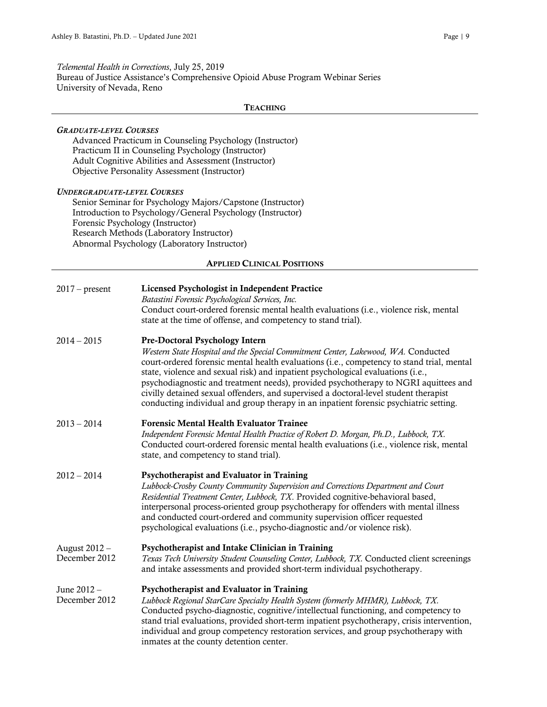*Telemental Health in Corrections*, July 25, 2019 Bureau of Justice Assistance's Comprehensive Opioid Abuse Program Webinar Series University of Nevada, Reno

#### **TEACHING**

# *GRADUATE-LEVEL COURSES*

Advanced Practicum in Counseling Psychology (Instructor) Practicum II in Counseling Psychology (Instructor) Adult Cognitive Abilities and Assessment (Instructor) Objective Personality Assessment (Instructor)

#### *UNDERGRADUATE-LEVEL COURSES*

Senior Seminar for Psychology Majors/Capstone (Instructor) Introduction to Psychology/General Psychology (Instructor) Forensic Psychology (Instructor) Research Methods (Laboratory Instructor) Abnormal Psychology (Laboratory Instructor)

#### APPLIED CLINICAL POSITIONS

| $2017$ – present               | Licensed Psychologist in Independent Practice<br>Batastini Forensic Psychological Services, Inc.<br>Conduct court-ordered forensic mental health evaluations (i.e., violence risk, mental<br>state at the time of offense, and competency to stand trial).                                                                                                                                                                                                                                                                                                                         |
|--------------------------------|------------------------------------------------------------------------------------------------------------------------------------------------------------------------------------------------------------------------------------------------------------------------------------------------------------------------------------------------------------------------------------------------------------------------------------------------------------------------------------------------------------------------------------------------------------------------------------|
| $2014 - 2015$                  | <b>Pre-Doctoral Psychology Intern</b><br>Western State Hospital and the Special Commitment Center, Lakewood, WA. Conducted<br>court-ordered forensic mental health evaluations (i.e., competency to stand trial, mental<br>state, violence and sexual risk) and inpatient psychological evaluations (i.e.,<br>psychodiagnostic and treatment needs), provided psychotherapy to NGRI aquittees and<br>civilly detained sexual offenders, and supervised a doctoral-level student therapist<br>conducting individual and group therapy in an inpatient forensic psychiatric setting. |
| $2013 - 2014$                  | <b>Forensic Mental Health Evaluator Trainee</b><br>Independent Forensic Mental Health Practice of Robert D. Morgan, Ph.D., Lubbock, TX.<br>Conducted court-ordered forensic mental health evaluations (i.e., violence risk, mental<br>state, and competency to stand trial).                                                                                                                                                                                                                                                                                                       |
| $2012 - 2014$                  | Psychotherapist and Evaluator in Training<br>Lubbock-Crosby County Community Supervision and Corrections Department and Court<br>Residential Treatment Center, Lubbock, TX. Provided cognitive-behavioral based,<br>interpersonal process-oriented group psychotherapy for offenders with mental illness<br>and conducted court-ordered and community supervision officer requested<br>psychological evaluations (i.e., psycho-diagnostic and/or violence risk).                                                                                                                   |
| August 2012 -<br>December 2012 | Psychotherapist and Intake Clinician in Training<br>Texas Tech University Student Counseling Center, Lubbock, TX. Conducted client screenings<br>and intake assessments and provided short-term individual psychotherapy.                                                                                                                                                                                                                                                                                                                                                          |
| June 2012 -<br>December 2012   | Psychotherapist and Evaluator in Training<br>Lubbock Regional StarCare Specialty Health System (formerly MHMR), Lubbock, TX.<br>Conducted psycho-diagnostic, cognitive/intellectual functioning, and competency to<br>stand trial evaluations, provided short-term inpatient psychotherapy, crisis intervention,<br>individual and group competency restoration services, and group psychotherapy with<br>inmates at the county detention center.                                                                                                                                  |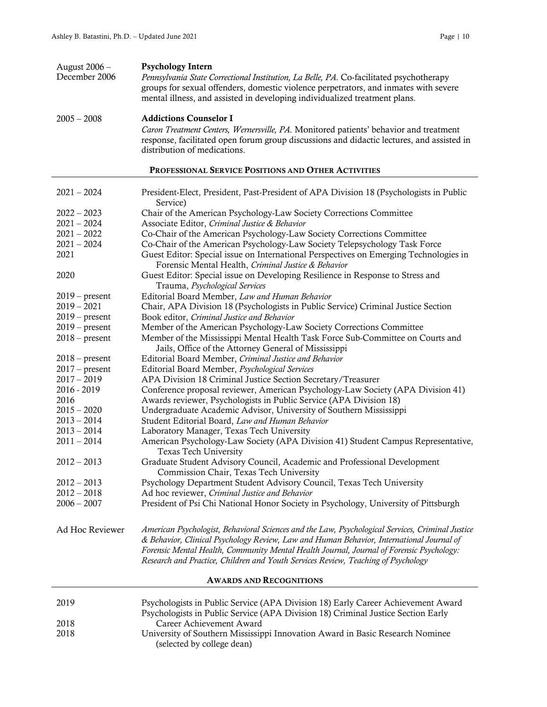| August 2006 -<br>December 2006                      | <b>Psychology Intern</b><br>Pennsylvania State Correctional Institution, La Belle, PA. Co-facilitated psychotherapy<br>groups for sexual offenders, domestic violence perpetrators, and inmates with severe<br>mental illness, and assisted in developing individualized treatment plans.                                                                                     |  |
|-----------------------------------------------------|-------------------------------------------------------------------------------------------------------------------------------------------------------------------------------------------------------------------------------------------------------------------------------------------------------------------------------------------------------------------------------|--|
| $2005 - 2008$                                       | <b>Addictions Counselor I</b><br>Caron Treatment Centers, Wernersville, PA. Monitored patients' behavior and treatment<br>response, facilitated open forum group discussions and didactic lectures, and assisted in<br>distribution of medications.                                                                                                                           |  |
| PROFESSIONAL SERVICE POSITIONS AND OTHER ACTIVITIES |                                                                                                                                                                                                                                                                                                                                                                               |  |
| $2021 - 2024$                                       | President-Elect, President, Past-President of APA Division 18 (Psychologists in Public<br>Service)                                                                                                                                                                                                                                                                            |  |
| $2022 - 2023$                                       | Chair of the American Psychology-Law Society Corrections Committee                                                                                                                                                                                                                                                                                                            |  |
| $2021 - 2024$                                       | Associate Editor, Criminal Justice & Behavior                                                                                                                                                                                                                                                                                                                                 |  |
| $2021 - 2022$                                       | Co-Chair of the American Psychology-Law Society Corrections Committee                                                                                                                                                                                                                                                                                                         |  |
| $2021 - 2024$                                       | Co-Chair of the American Psychology-Law Society Telepsychology Task Force                                                                                                                                                                                                                                                                                                     |  |
| 2021                                                | Guest Editor: Special issue on International Perspectives on Emerging Technologies in                                                                                                                                                                                                                                                                                         |  |
|                                                     | Forensic Mental Health, Criminal Justice & Behavior                                                                                                                                                                                                                                                                                                                           |  |
| 2020                                                | Guest Editor: Special issue on Developing Resilience in Response to Stress and<br>Trauma, Psychological Services                                                                                                                                                                                                                                                              |  |
| $2019$ – present                                    | Editorial Board Member, Law and Human Behavior                                                                                                                                                                                                                                                                                                                                |  |
| $2019 - 2021$                                       | Chair, APA Division 18 (Psychologists in Public Service) Criminal Justice Section                                                                                                                                                                                                                                                                                             |  |
| $2019$ – present                                    | Book editor, Criminal Justice and Behavior                                                                                                                                                                                                                                                                                                                                    |  |
| $2019$ – present                                    | Member of the American Psychology-Law Society Corrections Committee                                                                                                                                                                                                                                                                                                           |  |
| $2018$ – present                                    | Member of the Mississippi Mental Health Task Force Sub-Committee on Courts and<br>Jails, Office of the Attorney General of Mississippi                                                                                                                                                                                                                                        |  |
| $2018$ – present                                    | Editorial Board Member, Criminal Justice and Behavior                                                                                                                                                                                                                                                                                                                         |  |
| $2017$ – present                                    | Editorial Board Member, Psychological Services                                                                                                                                                                                                                                                                                                                                |  |
| $2017 - 2019$                                       | APA Division 18 Criminal Justice Section Secretary/Treasurer                                                                                                                                                                                                                                                                                                                  |  |
| 2016 - 2019                                         | Conference proposal reviewer, American Psychology-Law Society (APA Division 41)                                                                                                                                                                                                                                                                                               |  |
| 2016                                                | Awards reviewer, Psychologists in Public Service (APA Division 18)                                                                                                                                                                                                                                                                                                            |  |
| $2015 - 2020$                                       | Undergraduate Academic Advisor, University of Southern Mississippi                                                                                                                                                                                                                                                                                                            |  |
| $2013 - 2014$                                       | Student Editorial Board, Law and Human Behavior                                                                                                                                                                                                                                                                                                                               |  |
| $2013 - 2014$                                       | Laboratory Manager, Texas Tech University                                                                                                                                                                                                                                                                                                                                     |  |
| $2011 - 2014$                                       | American Psychology-Law Society (APA Division 41) Student Campus Representative,<br>Texas Tech University                                                                                                                                                                                                                                                                     |  |
| $2012 - 2013$                                       | Graduate Student Advisory Council, Academic and Professional Development<br>Commission Chair, Texas Tech University                                                                                                                                                                                                                                                           |  |
| $2012 - 2013$                                       | Psychology Department Student Advisory Council, Texas Tech University                                                                                                                                                                                                                                                                                                         |  |
| $2012 - 2018$                                       | Ad hoc reviewer, Criminal Justice and Behavior                                                                                                                                                                                                                                                                                                                                |  |
| $2006 - 2007$                                       | President of Psi Chi National Honor Society in Psychology, University of Pittsburgh                                                                                                                                                                                                                                                                                           |  |
| Ad Hoc Reviewer                                     | American Psychologist, Behavioral Sciences and the Law, Psychological Services, Criminal Justice<br>& Behavior, Clinical Psychology Review, Law and Human Behavior, International Journal of<br>Forensic Mental Health, Community Mental Health Journal, Journal of Forensic Psychology:<br>Research and Practice, Children and Youth Services Review, Teaching of Psychology |  |
| <b>AWARDS AND RECOGNITIONS</b>                      |                                                                                                                                                                                                                                                                                                                                                                               |  |
| 2019                                                | Psychologists in Public Service (APA Division 18) Early Career Achievement Award                                                                                                                                                                                                                                                                                              |  |
|                                                     | Psychologists in Public Service (APA Division 18) Criminal Justice Section Early                                                                                                                                                                                                                                                                                              |  |
| 2018                                                | Career Achievement Award                                                                                                                                                                                                                                                                                                                                                      |  |
| 2018                                                | University of Southern Mississippi Innovation Award in Basic Research Nominee<br>(selected by college dean)                                                                                                                                                                                                                                                                   |  |